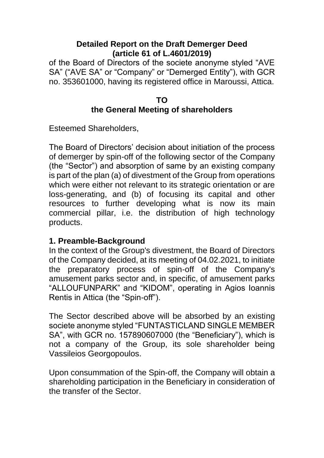### **Detailed Report on the Draft Demerger Deed (article 61 of L.4601/2019)**

of the Board of Directors of the societe anonyme styled "AVE SA" ("AVE SA" or "Company" or "Demerged Entity"), with GCR no. 353601000, having its registered office in Maroussi, Attica.

### **TO the General Meeting of shareholders**

Esteemed Shareholders,

The Board of Directors' decision about initiation of the process of demerger by spin-off of the following sector of the Company (the "Sector") and absorption of same by an existing company is part of the plan (a) of divestment of the Group from operations which were either not relevant to its strategic orientation or are loss-generating, and (b) of focusing its capital and other resources to further developing what is now its main commercial pillar, i.e. the distribution of high technology products.

# **1. Preamble-Background**

In the context of the Group's divestment, the Board of Directors of the Company decided, at its meeting of 04.02.2021, to initiate the preparatory process of spin-off of the Company's amusement parks sector and, in specific, of amusement parks "ALLOUFUNPARK" and "KIDOM", operating in Agios Ioannis Rentis in Attica (the "Spin-off").

The Sector described above will be absorbed by an existing societe anonyme styled "FUNTASTICLAND SINGLE MEMBER SA", with GCR no. 157890607000 (the "Beneficiary"), which is not a company of the Group, its sole shareholder being Vassileios Georgopoulos.

Upon consummation of the Spin-off, the Company will obtain a shareholding participation in the Beneficiary in consideration of the transfer of the Sector.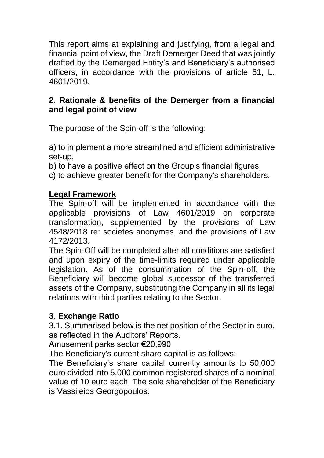This report aims at explaining and justifying, from a legal and financial point of view, the Draft Demerger Deed that was jointly drafted by the Demerged Entity's and Beneficiary's authorised officers, in accordance with the provisions of article 61, L. 4601/2019.

# **2. Rationale & benefits of the Demerger from a financial and legal point of view**

The purpose of the Spin-off is the following:

a) to implement a more streamlined and efficient administrative set-up,

b) to have a positive effect on the Group's financial figures,

c) to achieve greater benefit for the Company's shareholders.

# **Legal Framework**

The Spin-off will be implemented in accordance with the applicable provisions of Law 4601/2019 on corporate transformation, supplemented by the provisions of Law 4548/2018 re: societes anonymes, and the provisions of Law 4172/2013.

The Spin-Off will be completed after all conditions are satisfied and upon expiry of the time-limits required under applicable legislation. As of the consummation of the Spin-off, the Beneficiary will become global successor of the transferred assets of the Company, substituting the Company in all its legal relations with third parties relating to the Sector.

# **3. Exchange Ratio**

3.1. Summarised below is the net position of the Sector in euro, as reflected in the Auditors' Reports.

Amusement parks sector €20,990

The Beneficiary's current share capital is as follows:

The Beneficiary's share capital currently amounts to 50,000 euro divided into 5,000 common registered shares of a nominal value of 10 euro each. The sole shareholder of the Beneficiary is Vassileios Georgopoulos.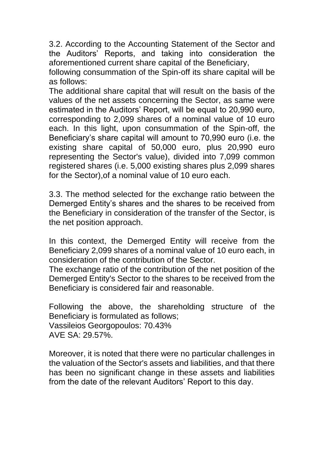3.2. According to the Accounting Statement of the Sector and the Auditors' Reports, and taking into consideration the aforementioned current share capital of the Beneficiary,

following consummation of the Spin-off its share capital will be as follows:

The additional share capital that will result on the basis of the values of the net assets concerning the Sector, as same were estimated in the Auditors' Report, will be equal to 20,990 euro, corresponding to 2,099 shares of a nominal value of 10 euro each. In this light, upon consummation of the Spin-off, the Beneficiary's share capital will amount to 70,990 euro (i.e. the existing share capital of 50,000 euro, plus 20,990 euro representing the Sector's value), divided into 7,099 common registered shares (i.e. 5,000 existing shares plus 2,099 shares for the Sector),of a nominal value of 10 euro each.

3.3. The method selected for the exchange ratio between the Demerged Entity's shares and the shares to be received from the Beneficiary in consideration of the transfer of the Sector, is the net position approach.

In this context, the Demerged Entity will receive from the Beneficiary 2,099 shares of a nominal value of 10 euro each, in consideration of the contribution of the Sector.

The exchange ratio of the contribution of the net position of the Demerged Entity's Sector to the shares to be received from the Beneficiary is considered fair and reasonable.

Following the above, the shareholding structure of the Beneficiary is formulated as follows; Vassileios Georgopoulos: 70.43% AVE SA: 29.57%.

Moreover, it is noted that there were no particular challenges in the valuation of the Sector's assets and liabilities, and that there has been no significant change in these assets and liabilities from the date of the relevant Auditors' Report to this day.